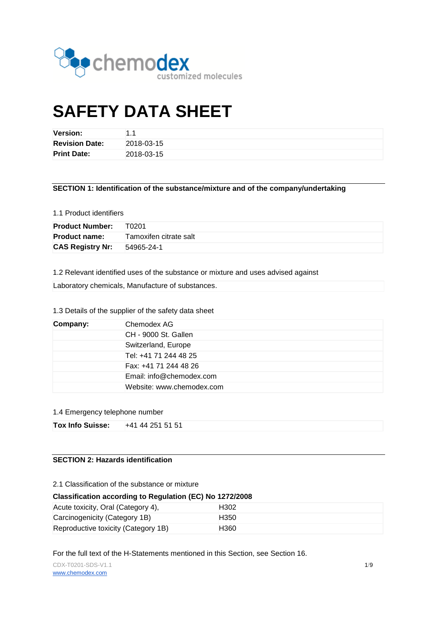

# **SAFETY DATA SHEET**

| <b>Version:</b>       | 11         |
|-----------------------|------------|
| <b>Revision Date:</b> | 2018-03-15 |
| <b>Print Date:</b>    | 2018-03-15 |

**SECTION 1: Identification of the substance/mixture and of the company/undertaking**

## 1.1 Product identifiers

| <b>Product Number:</b>  | T0201                  |
|-------------------------|------------------------|
| <b>Product name:</b>    | Tamoxifen citrate salt |
| <b>CAS Registry Nr:</b> | 54965-24-1             |

1.2 Relevant identified uses of the substance or mixture and uses advised against

Laboratory chemicals, Manufacture of substances.

## 1.3 Details of the supplier of the safety data sheet

| Company: | Chemodex AG               |
|----------|---------------------------|
|          | CH - 9000 St. Gallen      |
|          | Switzerland, Europe       |
|          | Tel: +41 71 244 48 25     |
|          | Fax: +41 71 244 48 26     |
|          | Email: info@chemodex.com  |
|          | Website: www.chemodex.com |

## 1.4 Emergency telephone number

| <b>Tox Info Suisse:</b> | +41 44 251 51 51 |  |
|-------------------------|------------------|--|
|-------------------------|------------------|--|

# **SECTION 2: Hazards identification**

2.1 Classification of the substance or mixture

#### **Classification according to Regulation (EC) No 1272/2008**

| Acute toxicity, Oral (Category 4),  | H302 |
|-------------------------------------|------|
| Carcinogenicity (Category 1B)       | H350 |
| Reproductive toxicity (Category 1B) | H360 |

For the full text of the H-Statements mentioned in this Section, see Section 16.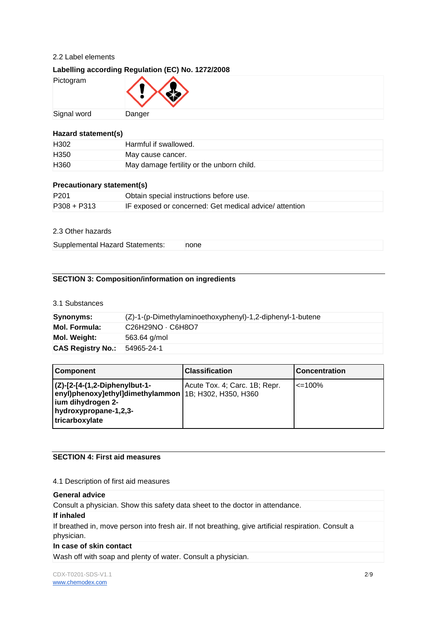## 2.2 Label elements

# **Labelling according Regulation (EC) No. 1272/2008**

| Pictogram   | $\langle \cdot \rangle \langle \cdot \rangle$ |
|-------------|-----------------------------------------------|
| Signal word | Danger                                        |

#### **Hazard statement(s)**

| H <sub>302</sub> | Harmful if swallowed.                     |
|------------------|-------------------------------------------|
| H <sub>350</sub> | May cause cancer.                         |
| H <sub>360</sub> | May damage fertility or the unborn child. |

#### **Precautionary statement(s)**

| P <sub>201</sub> | Obtain special instructions before use.                |
|------------------|--------------------------------------------------------|
| $P308 + P313$    | IF exposed or concerned: Get medical advice/ attention |

## 2.3 Other hazards

Supplemental Hazard Statements: none

# **SECTION 3: Composition/information on ingredients**

## 3.1 Substances

| Synonyms:                | (Z)-1-(p-Dimethylaminoethoxyphenyl)-1,2-diphenyl-1-butene                         |  |
|--------------------------|-----------------------------------------------------------------------------------|--|
| <b>Mol. Formula:</b>     | C <sub>26</sub> H <sub>29</sub> NO · C <sub>6</sub> H <sub>8</sub> O <sub>7</sub> |  |
| Mol. Weight:             | 563.64 g/mol                                                                      |  |
| <b>CAS Registry No.:</b> | 54965-24-1                                                                        |  |

| <b>Component</b>                                                                                                                                             | <b>Classification</b>         | <b>Concentration</b> |
|--------------------------------------------------------------------------------------------------------------------------------------------------------------|-------------------------------|----------------------|
| $ $ (Z)-[2-[4-(1,2-Diphenylbut-1-<br>enyl)phenoxy]ethyl]dimethylammon   1B; H302, H350, H360<br>ium dihydrogen 2-<br>hydroxypropane-1,2,3-<br>tricarboxylate | Acute Tox. 4; Carc. 1B; Repr. | $\leq$ 100%          |

# **SECTION 4: First aid measures**

#### 4.1 Description of first aid measures

#### **General advice**

Consult a physician. Show this safety data sheet to the doctor in attendance.

#### **If inhaled**

If breathed in, move person into fresh air. If not breathing, give artificial respiration. Consult a physician.

#### **In case of skin contact**

Wash off with soap and plenty of water. Consult a physician.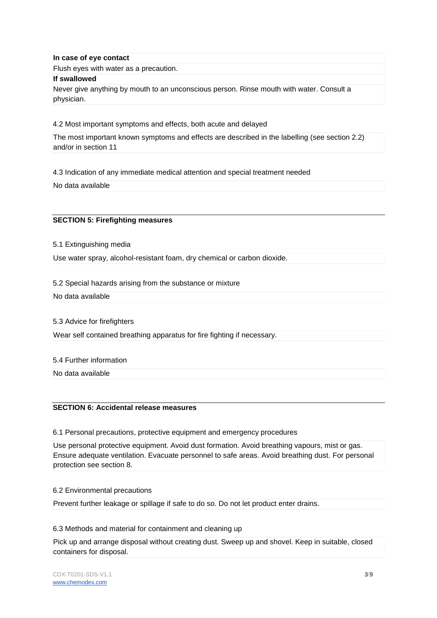#### **In case of eye contact**

Flush eyes with water as a precaution.

#### **If swallowed**

Never give anything by mouth to an unconscious person. Rinse mouth with water. Consult a physician.

4.2 Most important symptoms and effects, both acute and delayed

The most important known symptoms and effects are described in the labelling (see section 2.2) and/or in section 11

4.3 Indication of any immediate medical attention and special treatment needed

No data available

#### **SECTION 5: Firefighting measures**

5.1 Extinguishing media

Use water spray, alcohol-resistant foam, dry chemical or carbon dioxide.

5.2 Special hazards arising from the substance or mixture

No data available

5.3 Advice for firefighters

Wear self contained breathing apparatus for fire fighting if necessary.

5.4 Further information

No data available

## **SECTION 6: Accidental release measures**

6.1 Personal precautions, protective equipment and emergency procedures

Use personal protective equipment. Avoid dust formation. Avoid breathing vapours, mist or gas. Ensure adequate ventilation. Evacuate personnel to safe areas. Avoid breathing dust. For personal protection see section 8.

#### 6.2 Environmental precautions

Prevent further leakage or spillage if safe to do so. Do not let product enter drains.

6.3 Methods and material for containment and cleaning up

Pick up and arrange disposal without creating dust. Sweep up and shovel. Keep in suitable, closed containers for disposal.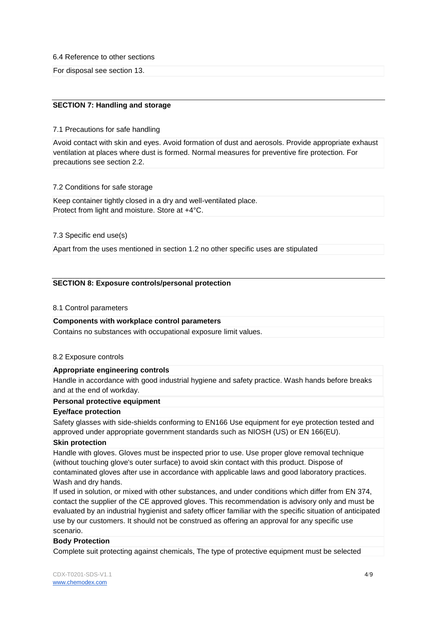6.4 Reference to other sections

For disposal see section 13.

## **SECTION 7: Handling and storage**

#### 7.1 Precautions for safe handling

Avoid contact with skin and eyes. Avoid formation of dust and aerosols. Provide appropriate exhaust ventilation at places where dust is formed. Normal measures for preventive fire protection. For precautions see section 2.2.

7.2 Conditions for safe storage

Keep container tightly closed in a dry and well-ventilated place. Protect from light and moisture. Store at +4°C.

7.3 Specific end use(s)

Apart from the uses mentioned in section 1.2 no other specific uses are stipulated

#### **SECTION 8: Exposure controls/personal protection**

#### 8.1 Control parameters

#### **Components with workplace control parameters**

Contains no substances with occupational exposure limit values.

#### 8.2 Exposure controls

#### **Appropriate engineering controls**

Handle in accordance with good industrial hygiene and safety practice. Wash hands before breaks and at the end of workday.

#### **Personal protective equipment**

#### **Eye/face protection**

Safety glasses with side-shields conforming to EN166 Use equipment for eye protection tested and approved under appropriate government standards such as NIOSH (US) or EN 166(EU).

#### **Skin protection**

Handle with gloves. Gloves must be inspected prior to use. Use proper glove removal technique (without touching glove's outer surface) to avoid skin contact with this product. Dispose of contaminated gloves after use in accordance with applicable laws and good laboratory practices. Wash and dry hands.

If used in solution, or mixed with other substances, and under conditions which differ from EN 374, contact the supplier of the CE approved gloves. This recommendation is advisory only and must be evaluated by an industrial hygienist and safety officer familiar with the specific situation of anticipated use by our customers. It should not be construed as offering an approval for any specific use scenario.

## **Body Protection**

Complete suit protecting against chemicals, The type of protective equipment must be selected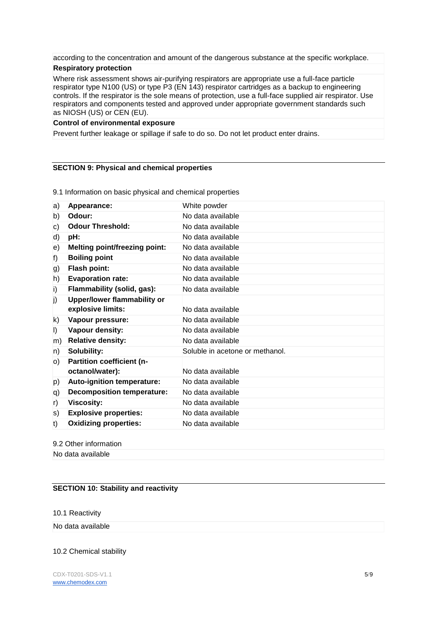according to the concentration and amount of the dangerous substance at the specific workplace.

## **Respiratory protection**

Where risk assessment shows air-purifying respirators are appropriate use a full-face particle respirator type N100 (US) or type P3 (EN 143) respirator cartridges as a backup to engineering controls. If the respirator is the sole means of protection, use a full-face supplied air respirator. Use respirators and components tested and approved under appropriate government standards such as NIOSH (US) or CEN (EU).

#### **Control of environmental exposure**

Prevent further leakage or spillage if safe to do so. Do not let product enter drains.

#### **SECTION 9: Physical and chemical properties**

a) **Appearance:** White powder b) **Odour:** No data available c) **Odour Threshold:** No data available d) **pH:** No data available e) **Melting point/freezing point:** No data available f) **Boiling point** No data available g) **Flash point:** No data available h) **Evaporation rate:** No data available i) **Flammability (solid, gas):** No data available j) **Upper/lower flammability or explosive limits:** No data available k) **Vapour pressure:** No data available l) **Vapour density:** No data available m) **Relative density:** No data available n) **Solubility:** Soluble in acetone or methanol. o) **Partition coefficient (noctanol/water):** No data available p) **Auto-ignition temperature:** No data available q) **Decomposition temperature:** No data available r) **Viscosity:** No data available s) **Explosive properties:** No data available t) **Oxidizing properties:** No data available

9.1 Information on basic physical and chemical properties

# 9.2 Other information

No data available

# **SECTION 10: Stability and reactivity**

10.1 Reactivity

# No data available

# 10.2 Chemical stability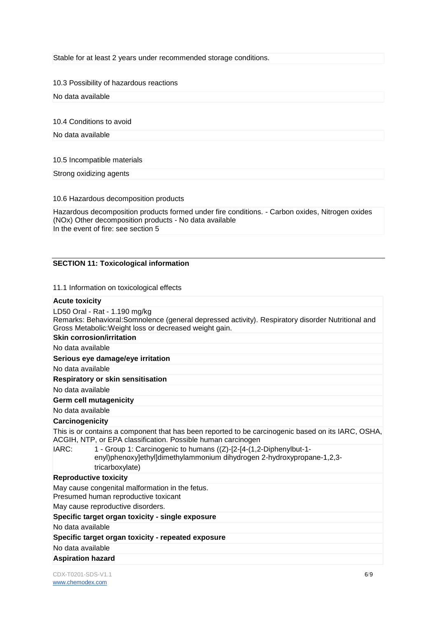Stable for at least 2 years under recommended storage conditions.

10.3 Possibility of hazardous reactions

No data available

10.4 Conditions to avoid

No data available

10.5 Incompatible materials

Strong oxidizing agents

10.6 Hazardous decomposition products

Hazardous decomposition products formed under fire conditions. - Carbon oxides, Nitrogen oxides (NOx) Other decomposition products - No data available In the event of fire: see section 5

#### **SECTION 11: Toxicological information**

11.1 Information on toxicological effects

#### **Acute toxicity**

LD50 Oral - Rat - 1.190 mg/kg Remarks: Behavioral:Somnolence (general depressed activity). Respiratory disorder Nutritional and Gross Metabolic:Weight loss or decreased weight gain. **Skin corrosion/irritation**

No data available

**Serious eye damage/eye irritation**

No data available

**Respiratory or skin sensitisation**

No data available

**Germ cell mutagenicity**

No data available

# **Carcinogenicity**

This is or contains a component that has been reported to be carcinogenic based on its IARC, OSHA, ACGIH, NTP, or EPA classification. Possible human carcinogen

IARC: 1 - Group 1: Carcinogenic to humans ((Z)-[2-[4-(1,2-Diphenylbut-1 enyl)phenoxy]ethyl]dimethylammonium dihydrogen 2-hydroxypropane-1,2,3 tricarboxylate)

#### **Reproductive toxicity**

May cause congenital malformation in the fetus.

Presumed human reproductive toxicant

May cause reproductive disorders.

#### **Specific target organ toxicity - single exposure**

No data available

**Specific target organ toxicity - repeated exposure**

No data available

#### **Aspiration hazard**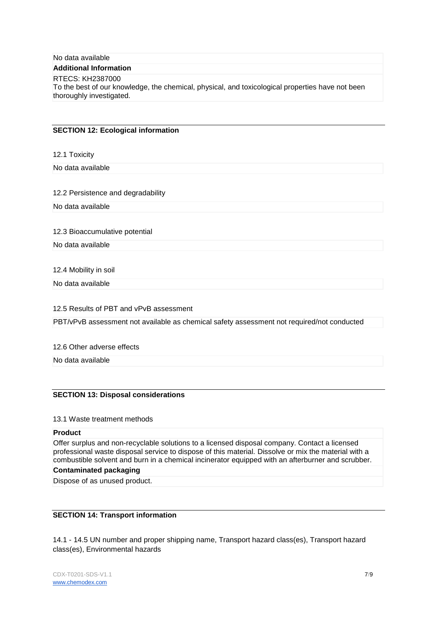| No data available |  |
|-------------------|--|
|-------------------|--|

#### **Additional Information**

#### RTECS: KH2387000

To the best of our knowledge, the chemical, physical, and toxicological properties have not been thoroughly investigated.

#### **SECTION 12: Ecological information**

12.1 Toxicity

No data available

#### 12.2 Persistence and degradability

No data available

12.3 Bioaccumulative potential

No data available

12.4 Mobility in soil

No data available

12.5 Results of PBT and vPvB assessment

PBT/vPvB assessment not available as chemical safety assessment not required/not conducted

12.6 Other adverse effects

No data available

#### **SECTION 13: Disposal considerations**

#### 13.1 Waste treatment methods

#### **Product**

Offer surplus and non-recyclable solutions to a licensed disposal company. Contact a licensed professional waste disposal service to dispose of this material. Dissolve or mix the material with a combustible solvent and burn in a chemical incinerator equipped with an afterburner and scrubber.

#### **Contaminated packaging**

Dispose of as unused product.

#### **SECTION 14: Transport information**

14.1 - 14.5 UN number and proper shipping name, Transport hazard class(es), Transport hazard class(es), Environmental hazards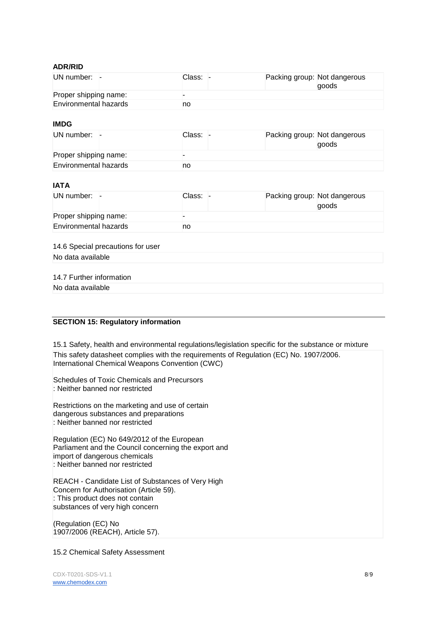#### **ADR/RID**

| UN number: -          | Class: . | Packing group: Not dangerous<br>goods |
|-----------------------|----------|---------------------------------------|
| Proper shipping name: |          |                                       |
| Environmental hazards | no       |                                       |

#### **IMDG**

| UN number: $-$        |  | Class: . | Packing group: Not dangerous | qoods |
|-----------------------|--|----------|------------------------------|-------|
| Proper shipping name: |  |          |                              |       |
| Environmental hazards |  | no       |                              |       |

# **IATA**

| UN number: $-$        | Class: |  | Packing group: Not dangerous<br>goods |
|-----------------------|--------|--|---------------------------------------|
| Proper shipping name: |        |  |                                       |
| Environmental hazards |        |  |                                       |

## 14.6 Special precautions for user No data available

## 14.7 Further information

No data available

## **SECTION 15: Regulatory information**

15.1 Safety, health and environmental regulations/legislation specific for the substance or mixture This safety datasheet complies with the requirements of Regulation (EC) No. 1907/2006. International Chemical Weapons Convention (CWC)

Schedules of Toxic Chemicals and Precursors : Neither banned nor restricted

Restrictions on the marketing and use of certain dangerous substances and preparations : Neither banned nor restricted

Regulation (EC) No 649/2012 of the European Parliament and the Council concerning the export and import of dangerous chemicals : Neither banned nor restricted

REACH - Candidate List of Substances of Very High Concern for Authorisation (Article 59). : This product does not contain substances of very high concern

(Regulation (EC) No 1907/2006 (REACH), Article 57).

#### 15.2 Chemical Safety Assessment